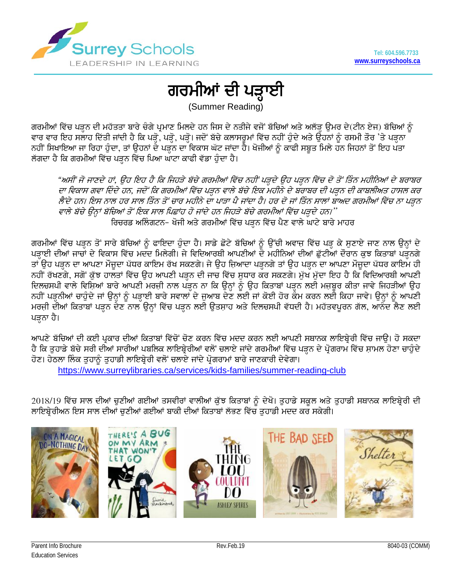

## ਗਰਮੀਆਂ ਦੀ ਪੜ੍ਹਾਈ

(Summer Reading)

ਗਰਮੀਆਂ ਵਿੱਚ ਪੜ੍ਹਨ ਦੀ ਮਹੱਤਤਾ ਬਾਰੇ ਚੰਗੇ ਪ੍ਰਮਾਣ ਮਿਲਦੇ ਹਨ ਜਿਸ ਦੇ ਨਤੀਜੇ ਵਜੋਂ ਬੱਚਿਆਂ ਅਤੇ ਅਲੱੜ੍ਹ ਉਮਰ ਦੇ(ਟੀਨ ਏਜ) ਬੱਚਿਆਂ ਨੂੰ ਵਾਰ ਵਾਰ ਇਹ ਸਲਾਹ ਦਿੱਤੀ ਜਾਂਦੀ ਹੈ ਕਿ ਪੜ੍ਹੋ, ਪੜ੍ਹੋ, ਪੜ੍ਹੋ। ਜਦੋਂ ਬੱਚੇ ਕਲਾਸਰੂਮਾਂ ਵਿੱਚ ਨਹੀਂ ਹੁੰਦੇ ਅਤੇ ਉਹਨਾਂ ਨੂੰ ਰਸਮੀ ਤੌਰ 'ਤੇ ਪੜ੍ਹਨਾ ਨਹੀਂ ਸਿਖਾਇਆ ਜਾ ਰਿਹਾ ਹੁੰਦਾ, ਤਾਂ ਉਹਨਾਂ ਦੇ ਪੜ੍ਹਨ ਦਾ ਵਿਕਾਸ ਘੱਟ ਜਾਂਦਾ ਹੈ। ਖੋਜੀਆਂ ਨੂੰ ਕਾਫੀ ਸਬੂਤ ਮਿਲੇ ਹਨ ਜਿਹਨਾਂ ਤੋਂ ਇਹ ਪਤਾ ਲੱਗਦਾ ਹੈ ਕਿ ਗਰਮੀਆਂ ਵਿੱਚ ਪੜਨ ਵਿੱਚ ਪਿਆ ਘਾਟਾ ਕਾਫੀ ਵੱਡਾ ਹੰਦਾ ਹੈ।

"ਅਸੀਂ ਜੋ ਜਾਣਦੇ ਹਾਂ, ਉਹ ਇਹ ਹੈ ਕਿ ਜਿਹੜੇ ਬੱਚੇ ਗਰਮੀਆਂ ਵਿੱਚ ਨਹੀਂ ਪੜ੍ਹਦੇ ਉਹ ਪੜ੍ਹਨ ਵਿੱਚ ਦੋ ਤੋਂ ਤਿੰਨ ਮਹੀਨਿਆਂ ਦੇ ਬਰਾਬਰ ਦਾ ਵਿਕਾਸ ਗਵਾ ਦਿੰਦੇ ਹਨ, ਜਦੋਂ ਕਿ ਗਰਮੀਆਂ ਵਿੱਚ ਪੜ੍ਹਨ ਵਾਲੇ ਬੱਚੇ ਇਕ ਮਹੀਨੇ ਦੇ ਬੱਰਾਬਰ ਦੀ ਪੜ੍ਹਨ ਦੀ ਕਾਬਲੀਅਤ ਹਾਸਲ ਕਰ ਲੈਂਦੇ ਹਨ। ਇਸ ਨਾਲ ਹਰ ਸਾਲ ਤਿੰਨ ਤੋਂ ਚਾਰ ਮਹੀਨੇ ਦਾ ਪਾੜਾ ਪੈ ਜਾਂਦਾ ਹੈ। ਹਰ ਦੋ ਜਾਂ ਤਿੰਨ ਸਾਲਾਂ ਬਾਅਦ ਗਰਮੀਆਂ ਵਿੱਚ ਨਾ ਪੜ੍ਹਨ ਵਾਲੇ ਬੱਚੇ ਉਨਾਂ ਬੱਚਿਆਂ ਤੋਂ ਇਕ ਸਾਲ ਪਿਛਾਂਹ ਹੋ ਜਾਂਦੇ ਹਨ ਜਿਹੜੇ ਬੱਚੇ ਗਰਮੀਆਂ ਵਿੱਚ ਪੜ੍ਹਦੇ ਹਨ।'' ਰਿਚਰਡ ਅਲਿੰਗਟਨ- ਖੋਜੀ ਅਤੇ ਗਰਮੀਆਂ ਵਿੱਚ ਪੜ੍ਹਨ ਵਿੱਚ ਪੈਣ ਵਾਲੇ ਘਾਟੇ ਬਾਰੇ ਮਾਹਰ

ਗਰਮੀਆਂ ਵਿੱਚ ਪੜ੍ਹਨ ਤੋਂ ਸਾਰੇ ਬੱਚਿਆਂ ਨੂੰ ਫਾਇਦਾ ਹੁੰਦਾ ਹੈ। ਸਾਡੇ ਛੋਟੇ ਬੱਚਿਆਂ ਨੂੰ ਉੱਚੀ ਅਵਾਜ ਵਿੱਚ ਪੜ੍ਹ ਕੇ ਸੁਣਾਏ ਜਾਣ ਨਾਲ ਉਨ੍ਹਾਂ ਦੇ ਪੜ੍ਹਾਈ ਦੀਆਂ ਜਾਚਾਂ ਦੇ ਵਿਕਾਸ ਵਿੱਚ ਮਦੰਦ ਮਿਲੇਗੀ। ਜੇ ਵਿਦਿਆਰਥੀ ਆਪਣੀਆਂ ਦੋ ਮਹੀਨਿਆਂ ਦੀਆਂ ਛੁੱਟੀਆਂ ਦੌਰਾਨ ਕੁਝ ਕਿਤਾਬਾਂ ਪੜ੍ਹਨਗੇ ਤਾਂ ਉਹ ਪੜਨ ਦਾ ਆਪਣਾ ਮੌਜੂਦਾ ਪੱਧਰ ਕਾਇਮ ਰੱਖ ਸਕਣਗੇ। ਜੇ ਉਹ ਜਿ਼ਆਦਾ ਪੜਨਗੇ ਤਾਂ ਉਹ ਪੜਨ ਦਾ ਆਪਣਾ ਮੌਜੂਦਾ ਪੱਧਰ ਕਾਇਮ ਹੀ ਨਹੀਂ ਰੱਖਣਗੇ, ਸਗੋਂ ਕੁੱਝ ਹਾਲਤਾਂ ਵਿੱਚ ਉਹ ਆਪਣੀ ਪੜ੍ਹਨ ਦੀ ਜਾਚ ਵਿੱਚ ਸੁਧਾਰ ਕੌਰ ਸਕਣਗੇ। ਮੁੱਖ ਮੁੱਦਾ ਇਹ ਹੈ ਕਿ ਵਿਦਿਆਰਥੀ ਆਪਣੀ ਦਿਲਚਸਪੀ ਵਾਲੇ ਵਿਸ਼ਿਆਂ ਬਾਰੇ ਆਪਣੀ ਮਰਜੀ ਨਾਲ ਪੜ੍ਹਨ ਨਾ ਕਿ ਉਨ੍ਹਾਂ ਨੂੰ ਉਹ ਕਿਤਾਬਾਂ ਪੜ੍ਹਨ ਲਈ ਮਜਬੂਰ ਕੀਤਾ ਜਾਵੇ ਜਿਹੜੀਆਂ ਉਹ ਨਹੀਂ ਪੜ੍ਹਨੀਆਂ ਚਾਹੁੰਦੇ ਜਾਂ ਉਨ੍ਹਾਂ ਨੂੰ ਪੜ੍ਹਾਈ ਬਾਰੇ ਸਵਾਲਾਂ ਦੇ ਜੁਆਬ ਦੇਣ ਲਈ ਜਾਂ ਕੋਈ ਹੋਰ ਕੌਮ ਕਰਨ ਲਈ ਕਿਹਾ ਜਾਵੇ। ਉਨ੍ਹਾਂ ਨੂੰ ਆਪਣੀ ਮਰਜੀ ਦੀਆਂ ਕਿਤਾਬਾਂ ਪੜ੍ਹਨ ਦੇਣ ਨਾਲ ਉਨ੍ਹਾਂ ਵਿੱਚ ਪੜ੍ਹਨ ਲਈ ਉਤਸ਼ਾਹ ਅਤੇ ਦਿਲਚਸਪੀ ਵੱਧਦੀ ਹੈ। ਮਹੱਤਵਪੂਰਨ ਗੱਲ, ਆਨੰਦ ਲੈਣ ਲਈ ਪੜ੍ਹਨਾ ਹੈ।

ਆਪਣੇ ਬੱਚਿਆਂ ਦੀ ਕਈ ਪ੍ਰਕਾਰ ਦੀਆਂ ਕਿਤਾਬਾਂ ਵਿੱਚੋਂ ਚੋਣ ਕਰਨ ਵਿੱਚ ਮਦਦ ਕਰਨ ਲਈ ਆਪਣੀ ਸਥਾਨਕ ਲਾਇਬ੍ਰੇਰੀ ਵਿੱਚ ਜਾੳ। ਹੋ ਸਕਦਾ ਹੈ ਕਿ ਤੁਹਾਡੇ ਬੱਚੇ ਸਰੀ ਦੀਆਂ ਸਾਰੀਆਂ ਪਬਲਿਕ ਲਾਇਬ੍ਰੇਰੀਆਂ ਵਲੋਂ ਚਲਾਏ ਜਾਂਦੇ ਗਰਮੀਆਂ ਵਿੱਚ ਪੜ੍ਹਨ ਦੇ ਪ੍ਰੋਗਰਾਮ ਵਿੱਚ ਸਾਮਲ ਹੋਣਾ ਚਾਹੁੰਦੇ ਹੋਣ। ਹੇਠਲਾ ਲਿੰਕ ਤੁਹਾਨੂੰ ਤੁਹਾਡੀ ਲਾਇਬ੍ਰੇਰੀ ਵਲੋਂ ਚਲਾਏ ਜਾਂਦੇ ਪ੍ਰੋਗਰਾਮਾਂ ਬਾਰੇ ਜਾਣਕਾਰੀ ਦੇਵੇਗਾ। <https://www.surreylibraries.ca/services/kids-families/summer-reading-club>

 $2018/19$  ਵਿੱਚ ਸਾਲ ਦੀਆਂ ਚੁਣੀਆਂ ਗਈਆਂ ਤਸਵੀਰਾਂ ਵਾਲੀਆਂ ਕੁੱਝ ਕਿਤਾਬਾਂ ਨੂੰ ਦੇਖੋ। ਤੁਹਾਡੇ ਸਕੂਲ ਅਤੇ ਤੁਹਾਡੀ ਸਥਾਨਕ ਲਾਇਬ੍ਰੇਰੀ ਦੀ ਲਾਇਬ੍ਰੇਰੀਅਨ ਇਸ ਸਾਲ ਦੀਆਂ ਚਣੀਆਂ ਗਈਆਂ ਬਾਕੀ ਦੀਆਂ ਕਿਤਾਬਾਂ ਲੱਭਣ ਵਿੱਚ ਤਹਾਡੀ ਮਦਦ ਕਰ ਸਕੇਗੀ।

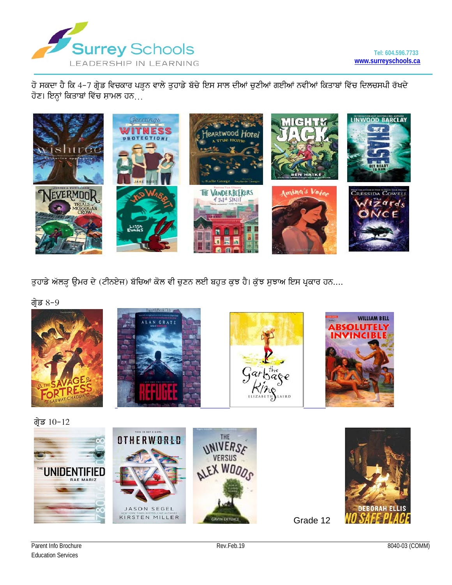

ਹੋ ਸਕਦਾ ਹੈ ਕਿ 4-7 ਗ੍ਰੇਡ ਵਿਚਕਾਰ ਪੜ੍ਹਨ ਵਾਲੇ ਤੁਹਾਡੇ ਬੱਚੇ ਇਸ ਸਾਲ ਦੀਆਂ ਚੁਣੀਆਂ ਗਈਆਂ ਨਵੀਂਆਂ ਕਿਤਾਬਾਂ ਵਿੱਚ ਦਿਲਚਸਪੀ ਰੱਖਦੇ ਹੋਣ। ਇਨ੍ਹਾਂ ਕਿਤਾਬਾਂ ਵਿੱਚ ਸ਼ਾਮਲ ਹਨ…



ਤੁਹਾਡੇ ਅੱਲੜ ਉਮਰ ਦੇ (ਟੀਨਏਜ) ਬੱਚਿਆਂ ਕੋਲ ਵੀ ਚੁਣਨ ਲਈ ਬਹੁਤ ਕੁਝ ਹੈ। ਕੁੱਝ ਸੁਝਾਅ ਇਸ ਪ੍ਰਕਾਰ ਹਨ....

ਗ੍ਰੇਡ  $8-9$ 









ਗ੍ਰੇਡ  $10-12$